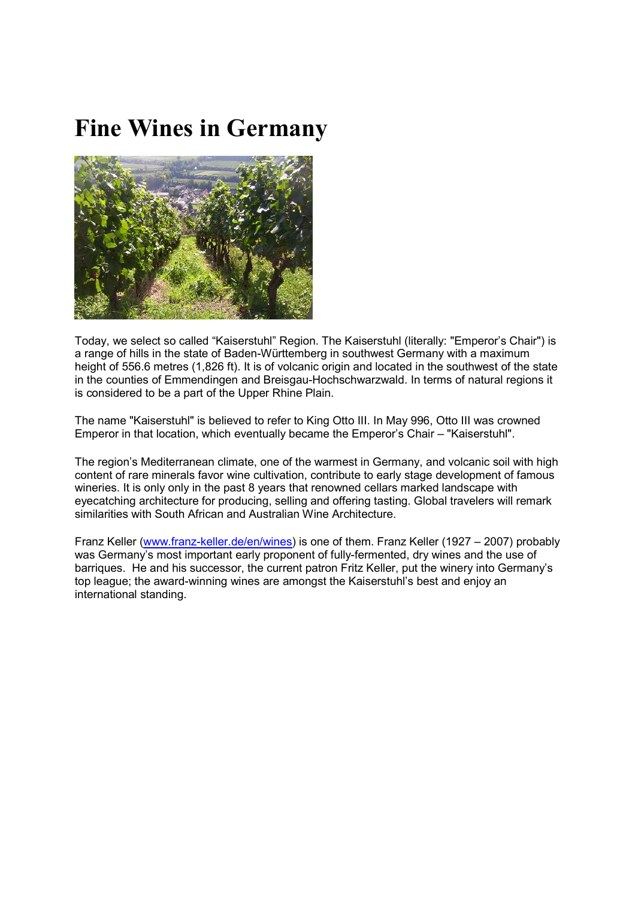## **Fine Wines in Germany**



Today, we select so called "Kaiserstuhl" Region. The Kaiserstuhl (literally: "Emperor's Chair") is a range of hills in the state of Baden-Württemberg in southwest Germany with a maximum height of 556.6 metres (1,826 ft). It is of volcanic origin and located in the southwest of the state in the counties of Emmendingen and Breisgau-Hochschwarzwald. In terms of natural regions it is considered to be a part of the Upper Rhine Plain.

The name "Kaiserstuhl" is believed to refer to King Otto III. In May 996, Otto III was crowned Emperor in that location, which eventually became the Emperor's Chair – "Kaiserstuhl".

The region's Mediterranean climate, one of the warmest in Germany, and volcanic soil with high content of rare minerals favor wine cultivation, contribute to early stage development of famous wineries. It is only only in the past 8 years that renowned cellars marked landscape with eyecatching architecture for producing, selling and offering tasting. Global travelers will remark similarities with South African and Australian Wine Architecture.

Franz Keller (www.franz-keller.de/en/wines) is one of them. Franz Keller (1927 – 2007) probably was Germany's most important early proponent of fully-fermented, dry wines and the use of barriques. He and his successor, the current patron Fritz Keller, put the winery into Germany's top league; the award-winning wines are amongst the Kaiserstuhl's best and enjoy an international standing.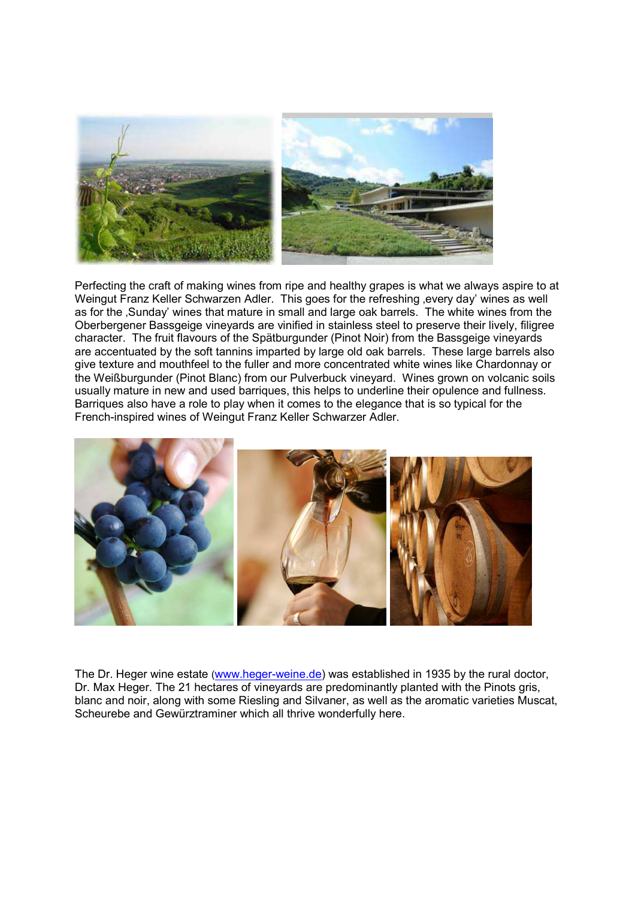

Perfecting the craft of making wines from ripe and healthy grapes is what we always aspire to at Weingut Franz Keller Schwarzen Adler. This goes for the refreshing every day' wines as well as for the .Sunday' wines that mature in small and large oak barrels. The white wines from the Oberbergener Bassgeige vineyards are vinified in stainless steel to preserve their lively, filigree character. The fruit flavours of the Spätburgunder (Pinot Noir) from the Bassgeige vineyards are accentuated by the soft tannins imparted by large old oak barrels. These large barrels also give texture and mouthfeel to the fuller and more concentrated white wines like Chardonnay or the Weißburgunder (Pinot Blanc) from our Pulverbuck vineyard. Wines grown on volcanic soils usually mature in new and used barriques, this helps to underline their opulence and fullness. Barriques also have a role to play when it comes to the elegance that is so typical for the French-inspired wines of Weingut Franz Keller Schwarzer Adler.



The Dr. Heger wine estate (www.heger-weine.de) was established in 1935 by the rural doctor, Dr. Max Heger. The 21 hectares of vineyards are predominantly planted with the Pinots gris, blanc and noir, along with some Riesling and Silvaner, as well as the aromatic varieties Muscat, Scheurebe and Gewürztraminer which all thrive wonderfully here.